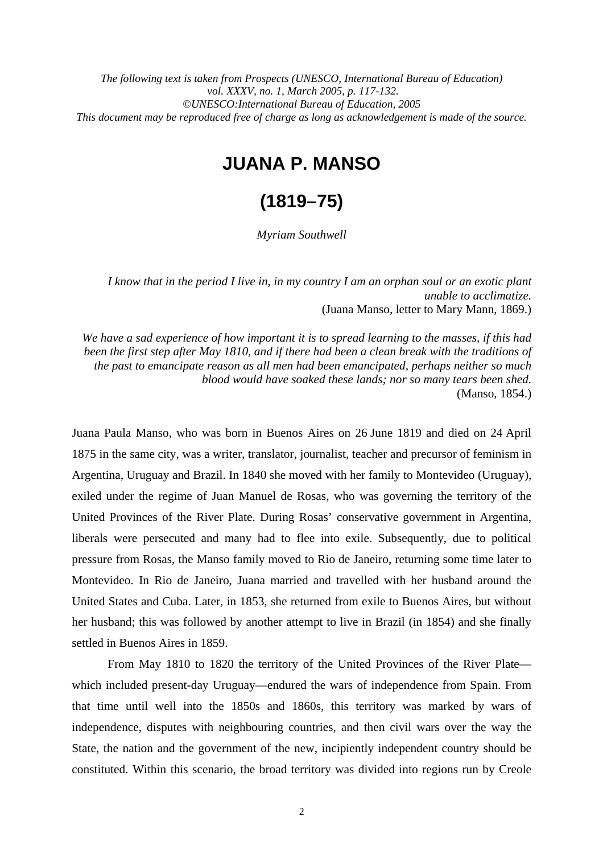*The following text is taken from Prospects (UNESCO, International Bureau of Education) vol. XXXV, no. 1, March 2005, p. 117-132. ©UNESCO:International Bureau of Education, 2005 This document may be reproduced free of charge as long as acknowledgement is made of the source.*

## **JUANA P. MANSO**

# **(1819–75)**

*Myriam Southwell* 

*I know that in the period I live in, in my country I am an orphan soul or an exotic plant unable to acclimatize.*  (Juana Manso, letter to Mary Mann, 1869.)

*We have a sad experience of how important it is to spread learning to the masses, if this had been the first step after May 1810, and if there had been a clean break with the traditions of the past to emancipate reason as all men had been emancipated, perhaps neither so much blood would have soaked these lands; nor so many tears been shed.*  (Manso, 1854.)

Juana Paula Manso, who was born in Buenos Aires on 26 June 1819 and died on 24 April 1875 in the same city, was a writer, translator, journalist, teacher and precursor of feminism in Argentina, Uruguay and Brazil. In 1840 she moved with her family to Montevideo (Uruguay), exiled under the regime of Juan Manuel de Rosas, who was governing the territory of the United Provinces of the River Plate. During Rosas' conservative government in Argentina, liberals were persecuted and many had to flee into exile. Subsequently, due to political pressure from Rosas, the Manso family moved to Rio de Janeiro, returning some time later to Montevideo. In Rio de Janeiro, Juana married and travelled with her husband around the United States and Cuba. Later, in 1853, she returned from exile to Buenos Aires, but without her husband; this was followed by another attempt to live in Brazil (in 1854) and she finally settled in Buenos Aires in 1859.

From May 1810 to 1820 the territory of the United Provinces of the River Plate which included present-day Uruguay—endured the wars of independence from Spain. From that time until well into the 1850s and 1860s, this territory was marked by wars of independence, disputes with neighbouring countries, and then civil wars over the way the State, the nation and the government of the new, incipiently independent country should be constituted. Within this scenario, the broad territory was divided into regions run by Creole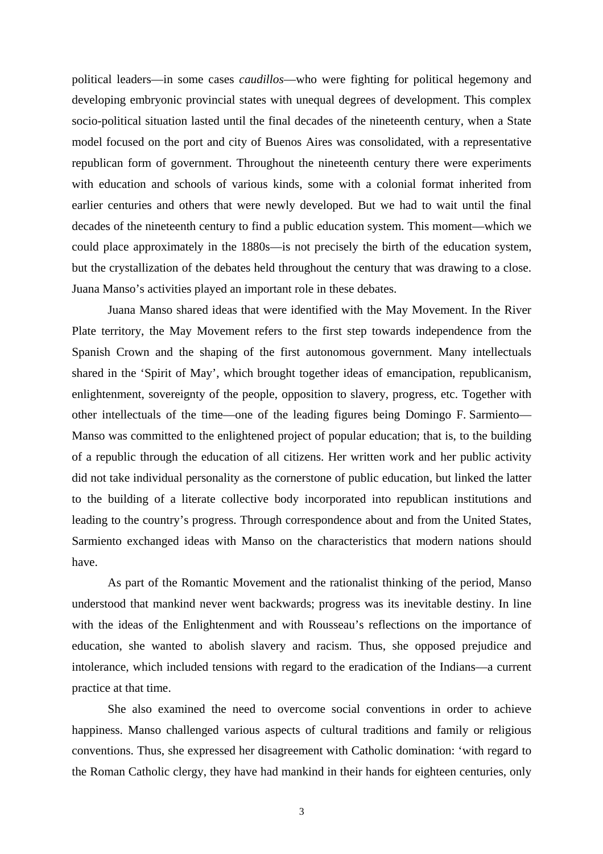political leaders—in some cases *caudillos*—who were fighting for political hegemony and developing embryonic provincial states with unequal degrees of development. This complex socio-political situation lasted until the final decades of the nineteenth century, when a State model focused on the port and city of Buenos Aires was consolidated, with a representative republican form of government. Throughout the nineteenth century there were experiments with education and schools of various kinds, some with a colonial format inherited from earlier centuries and others that were newly developed. But we had to wait until the final decades of the nineteenth century to find a public education system. This moment—which we could place approximately in the 1880s—is not precisely the birth of the education system, but the crystallization of the debates held throughout the century that was drawing to a close. Juana Manso's activities played an important role in these debates.

Juana Manso shared ideas that were identified with the May Movement. In the River Plate territory, the May Movement refers to the first step towards independence from the Spanish Crown and the shaping of the first autonomous government. Many intellectuals shared in the 'Spirit of May', which brought together ideas of emancipation, republicanism, enlightenment, sovereignty of the people, opposition to slavery, progress, etc. Together with other intellectuals of the time—one of the leading figures being Domingo F. Sarmiento— Manso was committed to the enlightened project of popular education; that is, to the building of a republic through the education of all citizens. Her written work and her public activity did not take individual personality as the cornerstone of public education, but linked the latter to the building of a literate collective body incorporated into republican institutions and leading to the country's progress. Through correspondence about and from the United States, Sarmiento exchanged ideas with Manso on the characteristics that modern nations should have.

As part of the Romantic Movement and the rationalist thinking of the period, Manso understood that mankind never went backwards; progress was its inevitable destiny. In line with the ideas of the Enlightenment and with Rousseau's reflections on the importance of education, she wanted to abolish slavery and racism. Thus, she opposed prejudice and intolerance, which included tensions with regard to the eradication of the Indians—a current practice at that time.

She also examined the need to overcome social conventions in order to achieve happiness. Manso challenged various aspects of cultural traditions and family or religious conventions. Thus, she expressed her disagreement with Catholic domination: 'with regard to the Roman Catholic clergy, they have had mankind in their hands for eighteen centuries, only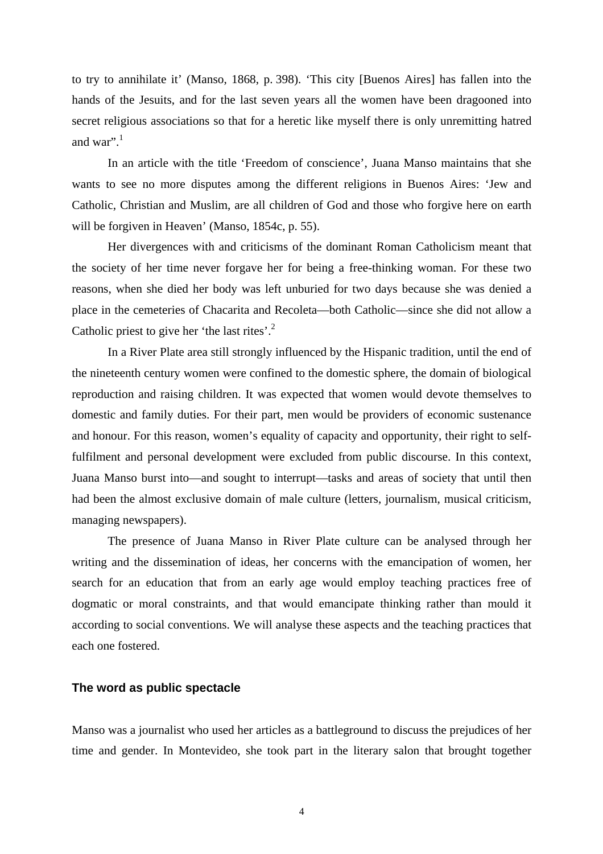to try to annihilate it' (Manso, 1868, p. 398). 'This city [Buenos Aires] has fallen into the hands of the Jesuits, and for the last seven years all the women have been dragooned into secret religious associations so that for a heretic like myself there is only unremitting hatred and war". $1$ 

In an article with the title 'Freedom of conscience', Juana Manso maintains that she wants to see no more disputes among the different religions in Buenos Aires: 'Jew and Catholic, Christian and Muslim, are all children of God and those who forgive here on earth will be forgiven in Heaven' (Manso, 1854c, p. 55).

Her divergences with and criticisms of the dominant Roman Catholicism meant that the society of her time never forgave her for being a free-thinking woman. For these two reasons, when she died her body was left unburied for two days because she was denied a place in the cemeteries of Chacarita and Recoleta—both Catholic—since she did not allow a Catholic priest to give her 'the last rites'.<sup>2</sup>

In a River Plate area still strongly influenced by the Hispanic tradition, until the end of the nineteenth century women were confined to the domestic sphere, the domain of biological reproduction and raising children. It was expected that women would devote themselves to domestic and family duties. For their part, men would be providers of economic sustenance and honour. For this reason, women's equality of capacity and opportunity, their right to selffulfilment and personal development were excluded from public discourse. In this context, Juana Manso burst into—and sought to interrupt—tasks and areas of society that until then had been the almost exclusive domain of male culture (letters, journalism, musical criticism, managing newspapers).

The presence of Juana Manso in River Plate culture can be analysed through her writing and the dissemination of ideas, her concerns with the emancipation of women, her search for an education that from an early age would employ teaching practices free of dogmatic or moral constraints, and that would emancipate thinking rather than mould it according to social conventions. We will analyse these aspects and the teaching practices that each one fostered.

#### **The word as public spectacle**

Manso was a journalist who used her articles as a battleground to discuss the prejudices of her time and gender. In Montevideo, she took part in the literary salon that brought together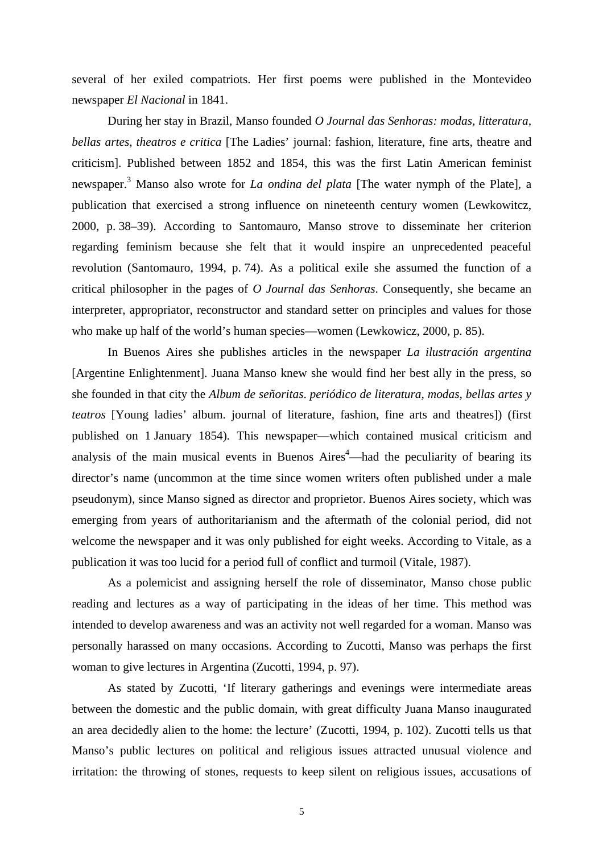several of her exiled compatriots. Her first poems were published in the Montevideo newspaper *El Nacional* in 1841.

During her stay in Brazil, Manso founded *O Journal das Senhoras: modas, litteratura, bellas artes, theatros e critica* [The Ladies' journal: fashion, literature, fine arts, theatre and criticism]. Published between 1852 and 1854, this was the first Latin American feminist newspaper.3 Manso also wrote for *La ondina del plata* [The water nymph of the Plate]*,* a publication that exercised a strong influence on nineteenth century women (Lewkowitcz, 2000, p. 38–39). According to Santomauro, Manso strove to disseminate her criterion regarding feminism because she felt that it would inspire an unprecedented peaceful revolution (Santomauro, 1994, p. 74). As a political exile she assumed the function of a critical philosopher in the pages of *O Journal das Senhoras*. Consequently, she became an interpreter, appropriator, reconstructor and standard setter on principles and values for those who make up half of the world's human species—women (Lewkowicz, 2000, p. 85).

In Buenos Aires she publishes articles in the newspaper *La ilustración argentina*  [Argentine Enlightenment]. Juana Manso knew she would find her best ally in the press, so she founded in that city the *Album de señoritas*. *periódico de literatura, modas, bellas artes y teatros* [Young ladies' album. journal of literature, fashion, fine arts and theatres]) (first published on 1 January 1854)*.* This newspaper—which contained musical criticism and analysis of the main musical events in Buenos  $Aires<sup>4</sup>$ —had the peculiarity of bearing its director's name (uncommon at the time since women writers often published under a male pseudonym), since Manso signed as director and proprietor. Buenos Aires society, which was emerging from years of authoritarianism and the aftermath of the colonial period, did not welcome the newspaper and it was only published for eight weeks. According to Vitale, as a publication it was too lucid for a period full of conflict and turmoil (Vitale, 1987).

As a polemicist and assigning herself the role of disseminator, Manso chose public reading and lectures as a way of participating in the ideas of her time. This method was intended to develop awareness and was an activity not well regarded for a woman. Manso was personally harassed on many occasions. According to Zucotti, Manso was perhaps the first woman to give lectures in Argentina (Zucotti, 1994, p. 97).

As stated by Zucotti, 'If literary gatherings and evenings were intermediate areas between the domestic and the public domain, with great difficulty Juana Manso inaugurated an area decidedly alien to the home: the lecture' (Zucotti, 1994, p. 102). Zucotti tells us that Manso's public lectures on political and religious issues attracted unusual violence and irritation: the throwing of stones, requests to keep silent on religious issues, accusations of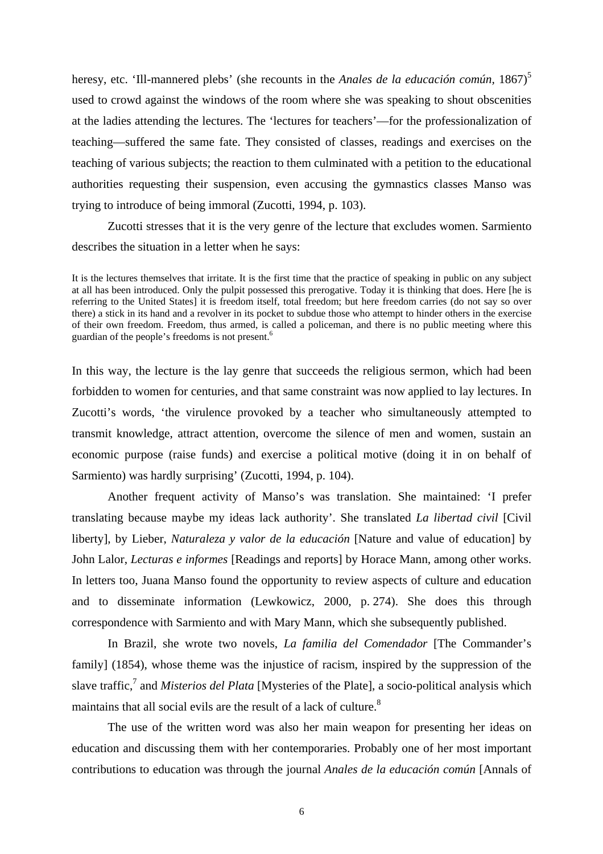heresy, etc. 'Ill-mannered plebs' (she recounts in the *Anales de la educación común*, 1867)<sup>5</sup> used to crowd against the windows of the room where she was speaking to shout obscenities at the ladies attending the lectures. The 'lectures for teachers'—for the professionalization of teaching—suffered the same fate. They consisted of classes, readings and exercises on the teaching of various subjects; the reaction to them culminated with a petition to the educational authorities requesting their suspension, even accusing the gymnastics classes Manso was trying to introduce of being immoral (Zucotti, 1994, p. 103).

Zucotti stresses that it is the very genre of the lecture that excludes women. Sarmiento describes the situation in a letter when he says:

It is the lectures themselves that irritate. It is the first time that the practice of speaking in public on any subject at all has been introduced. Only the pulpit possessed this prerogative. Today it is thinking that does. Here [he is referring to the United States] it is freedom itself, total freedom; but here freedom carries (do not say so over there) a stick in its hand and a revolver in its pocket to subdue those who attempt to hinder others in the exercise of their own freedom. Freedom, thus armed, is called a policeman, and there is no public meeting where this guardian of the people's freedoms is not present.<sup>6</sup>

In this way, the lecture is the lay genre that succeeds the religious sermon, which had been forbidden to women for centuries, and that same constraint was now applied to lay lectures. In Zucotti's words, 'the virulence provoked by a teacher who simultaneously attempted to transmit knowledge, attract attention, overcome the silence of men and women, sustain an economic purpose (raise funds) and exercise a political motive (doing it in on behalf of Sarmiento) was hardly surprising' (Zucotti, 1994, p. 104).

Another frequent activity of Manso's was translation. She maintained: 'I prefer translating because maybe my ideas lack authority'. She translated *La libertad civil* [Civil liberty], by Lieber, *Naturaleza y valor de la educación* [Nature and value of education] by John Lalor, *Lecturas e informes* [Readings and reports] by Horace Mann*,* among other works. In letters too, Juana Manso found the opportunity to review aspects of culture and education and to disseminate information (Lewkowicz, 2000, p. 274). She does this through correspondence with Sarmiento and with Mary Mann, which she subsequently published.

In Brazil, she wrote two novels, *La familia del Comendador* [The Commander's family] (1854), whose theme was the injustice of racism, inspired by the suppression of the slave traffic,<sup>7</sup> and *Misterios del Plata* [Mysteries of the Plate], a socio-political analysis which maintains that all social evils are the result of a lack of culture.<sup>8</sup>

The use of the written word was also her main weapon for presenting her ideas on education and discussing them with her contemporaries. Probably one of her most important contributions to education was through the journal *Anales de la educación común* [Annals of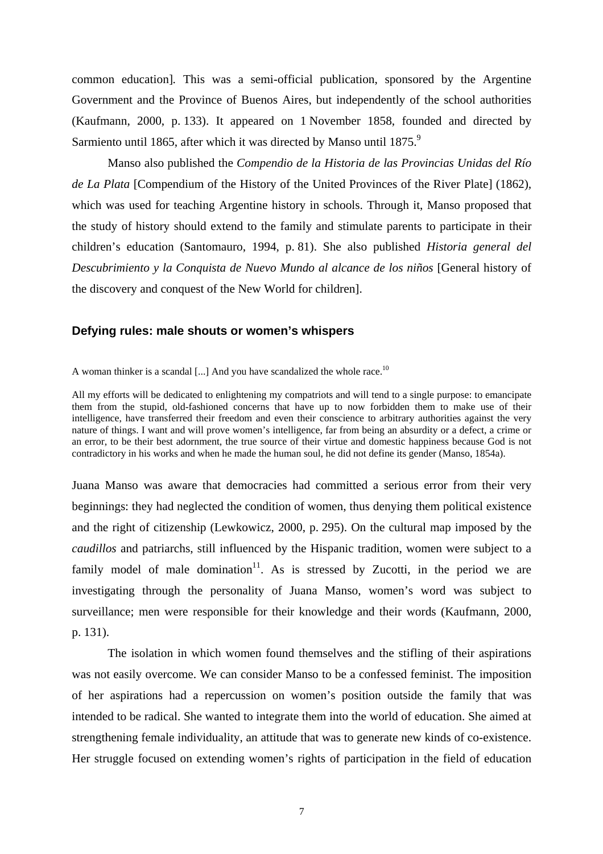common education]*.* This was a semi-official publication, sponsored by the Argentine Government and the Province of Buenos Aires, but independently of the school authorities (Kaufmann, 2000, p. 133). It appeared on 1 November 1858, founded and directed by Sarmiento until 1865, after which it was directed by Manso until 1875.<sup>9</sup>

Manso also published the *Compendio de la Historia de las Provincias Unidas del Río de La Plata* [Compendium of the History of the United Provinces of the River Plate] (1862)*,*  which was used for teaching Argentine history in schools. Through it, Manso proposed that the study of history should extend to the family and stimulate parents to participate in their children's education (Santomauro, 1994, p. 81). She also published *Historia general del Descubrimiento y la Conquista de Nuevo Mundo al alcance de los niños* [General history of the discovery and conquest of the New World for children].

## **Defying rules: male shouts or women's whispers**

A woman thinker is a scandal [...] And you have scandalized the whole race.<sup>10</sup>

All my efforts will be dedicated to enlightening my compatriots and will tend to a single purpose: to emancipate them from the stupid, old-fashioned concerns that have up to now forbidden them to make use of their intelligence, have transferred their freedom and even their conscience to arbitrary authorities against the very nature of things. I want and will prove women's intelligence, far from being an absurdity or a defect, a crime or an error, to be their best adornment, the true source of their virtue and domestic happiness because God is not contradictory in his works and when he made the human soul, he did not define its gender (Manso, 1854a).

Juana Manso was aware that democracies had committed a serious error from their very beginnings: they had neglected the condition of women, thus denying them political existence and the right of citizenship (Lewkowicz, 2000, p. 295). On the cultural map imposed by the *caudillos* and patriarchs, still influenced by the Hispanic tradition, women were subject to a family model of male domination<sup>11</sup>. As is stressed by Zucotti, in the period we are investigating through the personality of Juana Manso, women's word was subject to surveillance; men were responsible for their knowledge and their words (Kaufmann, 2000, p. 131).

The isolation in which women found themselves and the stifling of their aspirations was not easily overcome. We can consider Manso to be a confessed feminist. The imposition of her aspirations had a repercussion on women's position outside the family that was intended to be radical. She wanted to integrate them into the world of education. She aimed at strengthening female individuality, an attitude that was to generate new kinds of co-existence. Her struggle focused on extending women's rights of participation in the field of education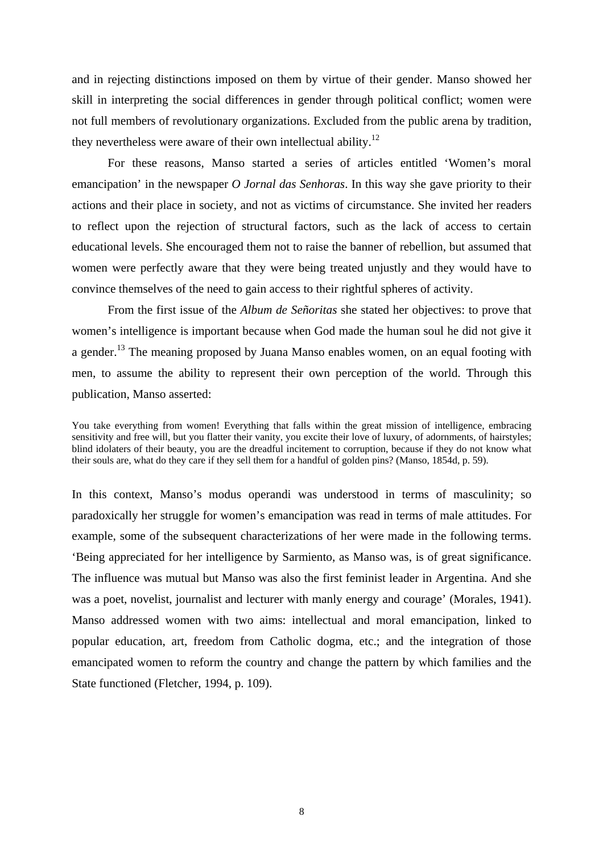and in rejecting distinctions imposed on them by virtue of their gender. Manso showed her skill in interpreting the social differences in gender through political conflict; women were not full members of revolutionary organizations. Excluded from the public arena by tradition, they nevertheless were aware of their own intellectual ability.<sup>12</sup>

For these reasons, Manso started a series of articles entitled 'Women's moral emancipation' in the newspaper *O Jornal das Senhoras*. In this way she gave priority to their actions and their place in society, and not as victims of circumstance. She invited her readers to reflect upon the rejection of structural factors, such as the lack of access to certain educational levels. She encouraged them not to raise the banner of rebellion, but assumed that women were perfectly aware that they were being treated unjustly and they would have to convince themselves of the need to gain access to their rightful spheres of activity.

From the first issue of the *Album de Señoritas* she stated her objectives: to prove that women's intelligence is important because when God made the human soul he did not give it a gender.<sup>13</sup> The meaning proposed by Juana Manso enables women, on an equal footing with men, to assume the ability to represent their own perception of the world. Through this publication, Manso asserted:

You take everything from women! Everything that falls within the great mission of intelligence, embracing sensitivity and free will, but you flatter their vanity, you excite their love of luxury, of adornments, of hairstyles; blind idolaters of their beauty, you are the dreadful incitement to corruption, because if they do not know what their souls are, what do they care if they sell them for a handful of golden pins? (Manso, 1854d, p. 59).

In this context, Manso's modus operandi was understood in terms of masculinity; so paradoxically her struggle for women's emancipation was read in terms of male attitudes. For example, some of the subsequent characterizations of her were made in the following terms. 'Being appreciated for her intelligence by Sarmiento, as Manso was, is of great significance. The influence was mutual but Manso was also the first feminist leader in Argentina. And she was a poet, novelist, journalist and lecturer with manly energy and courage' (Morales, 1941). Manso addressed women with two aims: intellectual and moral emancipation, linked to popular education, art, freedom from Catholic dogma, etc.; and the integration of those emancipated women to reform the country and change the pattern by which families and the State functioned (Fletcher, 1994, p. 109).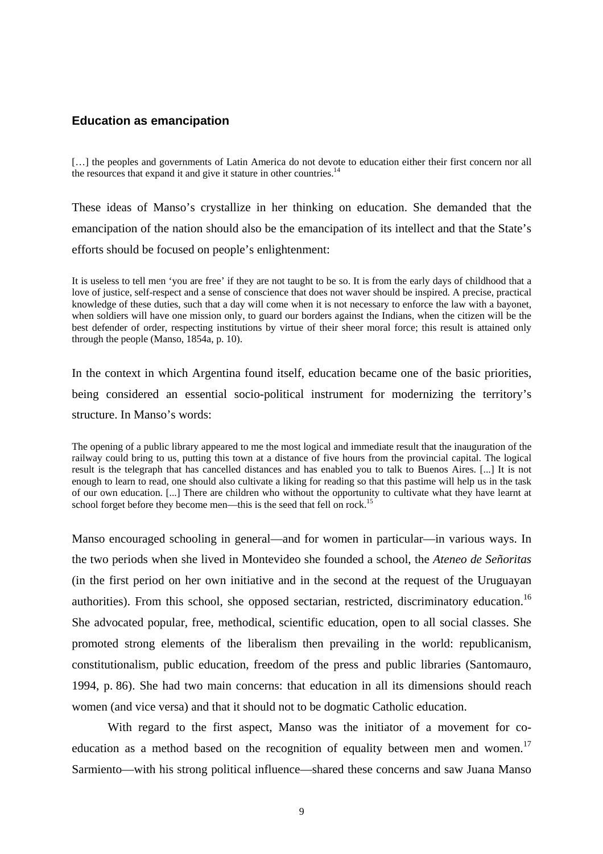## **Education as emancipation**

[...] the peoples and governments of Latin America do not devote to education either their first concern nor all the resources that expand it and give it stature in other countries. $<sup>14</sup>$ </sup>

These ideas of Manso's crystallize in her thinking on education. She demanded that the emancipation of the nation should also be the emancipation of its intellect and that the State's efforts should be focused on people's enlightenment:

It is useless to tell men 'you are free' if they are not taught to be so. It is from the early days of childhood that a love of justice, self-respect and a sense of conscience that does not waver should be inspired. A precise, practical knowledge of these duties, such that a day will come when it is not necessary to enforce the law with a bayonet, when soldiers will have one mission only, to guard our borders against the Indians, when the citizen will be the best defender of order, respecting institutions by virtue of their sheer moral force; this result is attained only through the people (Manso, 1854a, p. 10).

In the context in which Argentina found itself, education became one of the basic priorities, being considered an essential socio-political instrument for modernizing the territory's structure. In Manso's words:

The opening of a public library appeared to me the most logical and immediate result that the inauguration of the railway could bring to us, putting this town at a distance of five hours from the provincial capital. The logical result is the telegraph that has cancelled distances and has enabled you to talk to Buenos Aires. [...] It is not enough to learn to read, one should also cultivate a liking for reading so that this pastime will help us in the task of our own education. [...] There are children who without the opportunity to cultivate what they have learnt at school forget before they become men—this is the seed that fell on rock.<sup>15</sup>

Manso encouraged schooling in general—and for women in particular—in various ways. In the two periods when she lived in Montevideo she founded a school, the *Ateneo de Señoritas* (in the first period on her own initiative and in the second at the request of the Uruguayan authorities). From this school, she opposed sectarian, restricted, discriminatory education.<sup>16</sup> She advocated popular, free, methodical, scientific education, open to all social classes. She promoted strong elements of the liberalism then prevailing in the world: republicanism, constitutionalism, public education, freedom of the press and public libraries (Santomauro, 1994, p. 86). She had two main concerns: that education in all its dimensions should reach women (and vice versa) and that it should not to be dogmatic Catholic education.

With regard to the first aspect, Manso was the initiator of a movement for coeducation as a method based on the recognition of equality between men and women.<sup>17</sup> Sarmiento—with his strong political influence—shared these concerns and saw Juana Manso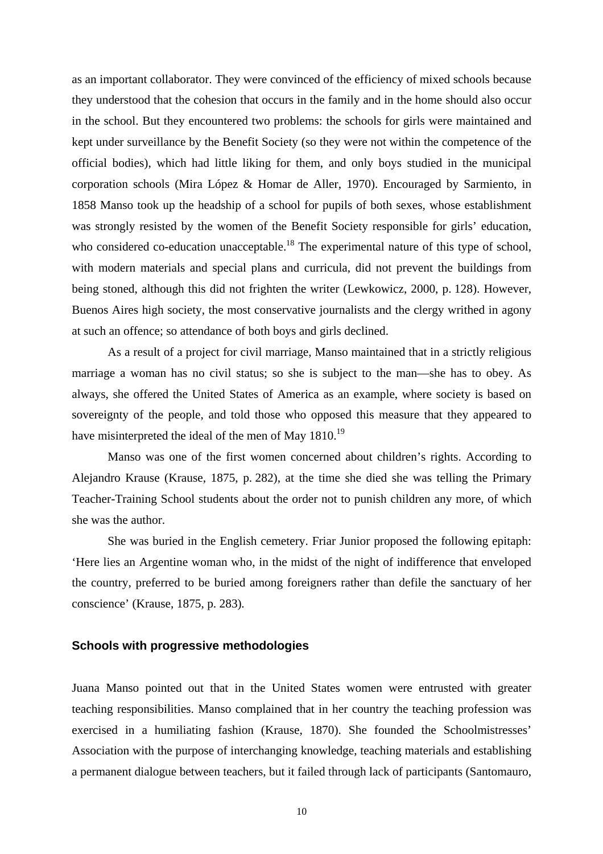as an important collaborator. They were convinced of the efficiency of mixed schools because they understood that the cohesion that occurs in the family and in the home should also occur in the school. But they encountered two problems: the schools for girls were maintained and kept under surveillance by the Benefit Society (so they were not within the competence of the official bodies), which had little liking for them, and only boys studied in the municipal corporation schools (Mira López & Homar de Aller, 1970). Encouraged by Sarmiento, in 1858 Manso took up the headship of a school for pupils of both sexes, whose establishment was strongly resisted by the women of the Benefit Society responsible for girls' education, who considered co-education unacceptable.<sup>18</sup> The experimental nature of this type of school, with modern materials and special plans and curricula, did not prevent the buildings from being stoned, although this did not frighten the writer (Lewkowicz, 2000, p. 128). However, Buenos Aires high society, the most conservative journalists and the clergy writhed in agony at such an offence; so attendance of both boys and girls declined.

As a result of a project for civil marriage, Manso maintained that in a strictly religious marriage a woman has no civil status; so she is subject to the man—she has to obey. As always, she offered the United States of America as an example, where society is based on sovereignty of the people, and told those who opposed this measure that they appeared to have misinterpreted the ideal of the men of May 1810.<sup>19</sup>

Manso was one of the first women concerned about children's rights. According to Alejandro Krause (Krause, 1875, p. 282), at the time she died she was telling the Primary Teacher-Training School students about the order not to punish children any more, of which she was the author.

She was buried in the English cemetery. Friar Junior proposed the following epitaph: 'Here lies an Argentine woman who, in the midst of the night of indifference that enveloped the country, preferred to be buried among foreigners rather than defile the sanctuary of her conscience' (Krause, 1875, p. 283)*.* 

#### **Schools with progressive methodologies**

Juana Manso pointed out that in the United States women were entrusted with greater teaching responsibilities. Manso complained that in her country the teaching profession was exercised in a humiliating fashion (Krause, 1870). She founded the Schoolmistresses' Association with the purpose of interchanging knowledge, teaching materials and establishing a permanent dialogue between teachers, but it failed through lack of participants (Santomauro,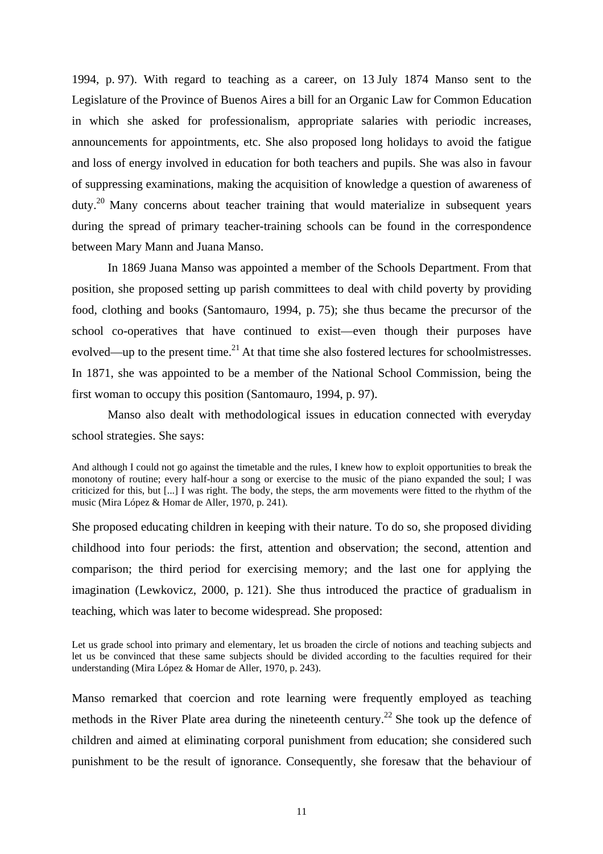1994, p. 97). With regard to teaching as a career, on 13 July 1874 Manso sent to the Legislature of the Province of Buenos Aires a bill for an Organic Law for Common Education in which she asked for professionalism, appropriate salaries with periodic increases, announcements for appointments, etc. She also proposed long holidays to avoid the fatigue and loss of energy involved in education for both teachers and pupils. She was also in favour of suppressing examinations, making the acquisition of knowledge a question of awareness of  $duty<sup>20</sup>$  Many concerns about teacher training that would materialize in subsequent years during the spread of primary teacher-training schools can be found in the correspondence between Mary Mann and Juana Manso.

In 1869 Juana Manso was appointed a member of the Schools Department. From that position, she proposed setting up parish committees to deal with child poverty by providing food, clothing and books (Santomauro, 1994, p. 75); she thus became the precursor of the school co-operatives that have continued to exist—even though their purposes have evolved—up to the present time.<sup>21</sup> At that time she also fostered lectures for schoolmistresses. In 1871, she was appointed to be a member of the National School Commission, being the first woman to occupy this position (Santomauro, 1994, p. 97).

Manso also dealt with methodological issues in education connected with everyday school strategies. She says:

And although I could not go against the timetable and the rules, I knew how to exploit opportunities to break the monotony of routine; every half-hour a song or exercise to the music of the piano expanded the soul; I was criticized for this, but [...] I was right. The body, the steps, the arm movements were fitted to the rhythm of the music (Mira López & Homar de Aller, 1970, p. 241).

She proposed educating children in keeping with their nature. To do so, she proposed dividing childhood into four periods: the first, attention and observation; the second, attention and comparison; the third period for exercising memory; and the last one for applying the imagination (Lewkovicz, 2000, p. 121). She thus introduced the practice of gradualism in teaching, which was later to become widespread. She proposed:

Let us grade school into primary and elementary, let us broaden the circle of notions and teaching subjects and let us be convinced that these same subjects should be divided according to the faculties required for their understanding (Mira López & Homar de Aller, 1970, p. 243).

Manso remarked that coercion and rote learning were frequently employed as teaching methods in the River Plate area during the nineteenth century.<sup>22</sup> She took up the defence of children and aimed at eliminating corporal punishment from education; she considered such punishment to be the result of ignorance. Consequently, she foresaw that the behaviour of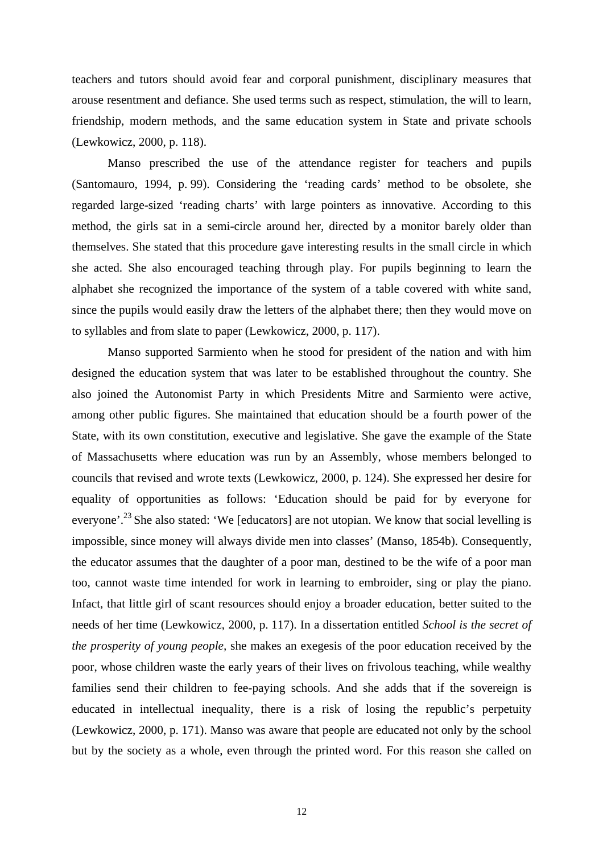teachers and tutors should avoid fear and corporal punishment, disciplinary measures that arouse resentment and defiance. She used terms such as respect, stimulation, the will to learn, friendship, modern methods, and the same education system in State and private schools (Lewkowicz, 2000, p. 118).

Manso prescribed the use of the attendance register for teachers and pupils (Santomauro, 1994, p. 99). Considering the 'reading cards' method to be obsolete, she regarded large-sized 'reading charts' with large pointers as innovative. According to this method, the girls sat in a semi-circle around her, directed by a monitor barely older than themselves. She stated that this procedure gave interesting results in the small circle in which she acted. She also encouraged teaching through play. For pupils beginning to learn the alphabet she recognized the importance of the system of a table covered with white sand, since the pupils would easily draw the letters of the alphabet there; then they would move on to syllables and from slate to paper (Lewkowicz, 2000, p. 117).

Manso supported Sarmiento when he stood for president of the nation and with him designed the education system that was later to be established throughout the country. She also joined the Autonomist Party in which Presidents Mitre and Sarmiento were active, among other public figures. She maintained that education should be a fourth power of the State, with its own constitution, executive and legislative. She gave the example of the State of Massachusetts where education was run by an Assembly, whose members belonged to councils that revised and wrote texts (Lewkowicz, 2000, p. 124). She expressed her desire for equality of opportunities as follows: 'Education should be paid for by everyone for everyone'.<sup>23</sup> She also stated: 'We [educators] are not utopian. We know that social levelling is impossible, since money will always divide men into classes' (Manso, 1854b). Consequently, the educator assumes that the daughter of a poor man, destined to be the wife of a poor man too, cannot waste time intended for work in learning to embroider, sing or play the piano. Infact, that little girl of scant resources should enjoy a broader education, better suited to the needs of her time (Lewkowicz, 2000, p. 117). In a dissertation entitled *School is the secret of the prosperity of young people,* she makes an exegesis of the poor education received by the poor, whose children waste the early years of their lives on frivolous teaching, while wealthy families send their children to fee-paying schools. And she adds that if the sovereign is educated in intellectual inequality, there is a risk of losing the republic's perpetuity (Lewkowicz, 2000, p. 171). Manso was aware that people are educated not only by the school but by the society as a whole, even through the printed word. For this reason she called on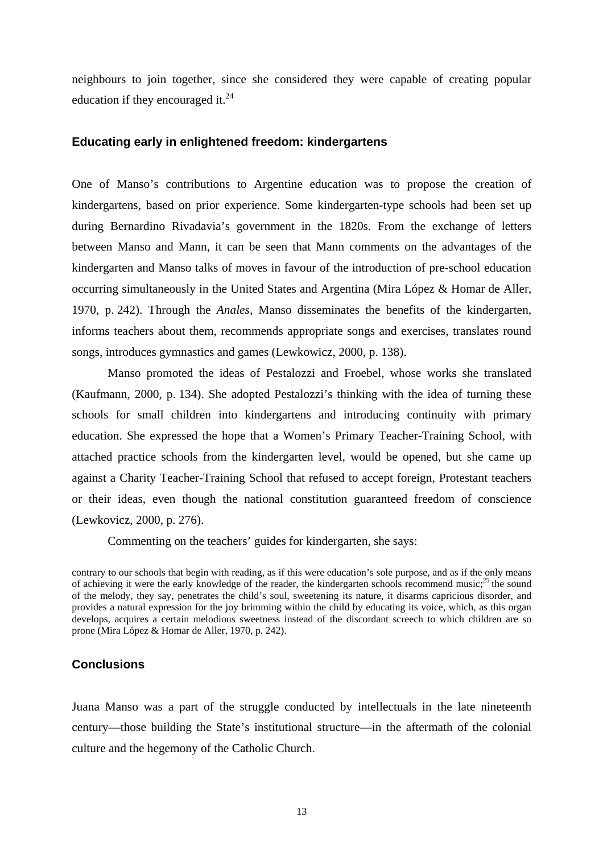neighbours to join together, since she considered they were capable of creating popular education if they encouraged it.<sup>24</sup>

## **Educating early in enlightened freedom: kindergartens**

One of Manso's contributions to Argentine education was to propose the creation of kindergartens, based on prior experience. Some kindergarten-type schools had been set up during Bernardino Rivadavia's government in the 1820s. From the exchange of letters between Manso and Mann, it can be seen that Mann comments on the advantages of the kindergarten and Manso talks of moves in favour of the introduction of pre-school education occurring simultaneously in the United States and Argentina (Mira López & Homar de Aller, 1970, p. 242). Through the *Anales,* Manso disseminates the benefits of the kindergarten, informs teachers about them, recommends appropriate songs and exercises, translates round songs, introduces gymnastics and games (Lewkowicz, 2000, p. 138).

Manso promoted the ideas of Pestalozzi and Froebel, whose works she translated (Kaufmann, 2000, p. 134). She adopted Pestalozzi's thinking with the idea of turning these schools for small children into kindergartens and introducing continuity with primary education. She expressed the hope that a Women's Primary Teacher-Training School, with attached practice schools from the kindergarten level, would be opened, but she came up against a Charity Teacher-Training School that refused to accept foreign, Protestant teachers or their ideas, even though the national constitution guaranteed freedom of conscience (Lewkovicz, 2000, p. 276).

Commenting on the teachers' guides for kindergarten, she says:

contrary to our schools that begin with reading, as if this were education's sole purpose, and as if the only means of achieving it were the early knowledge of the reader, the kindergarten schools recommend music;<sup>25</sup> the sound of the melody, they say, penetrates the child's soul, sweetening its nature, it disarms capricious disorder, and provides a natural expression for the joy brimming within the child by educating its voice, which, as this organ develops, acquires a certain melodious sweetness instead of the discordant screech to which children are so prone (Mira López & Homar de Aller, 1970, p. 242).

## **Conclusions**

Juana Manso was a part of the struggle conducted by intellectuals in the late nineteenth century—those building the State's institutional structure—in the aftermath of the colonial culture and the hegemony of the Catholic Church.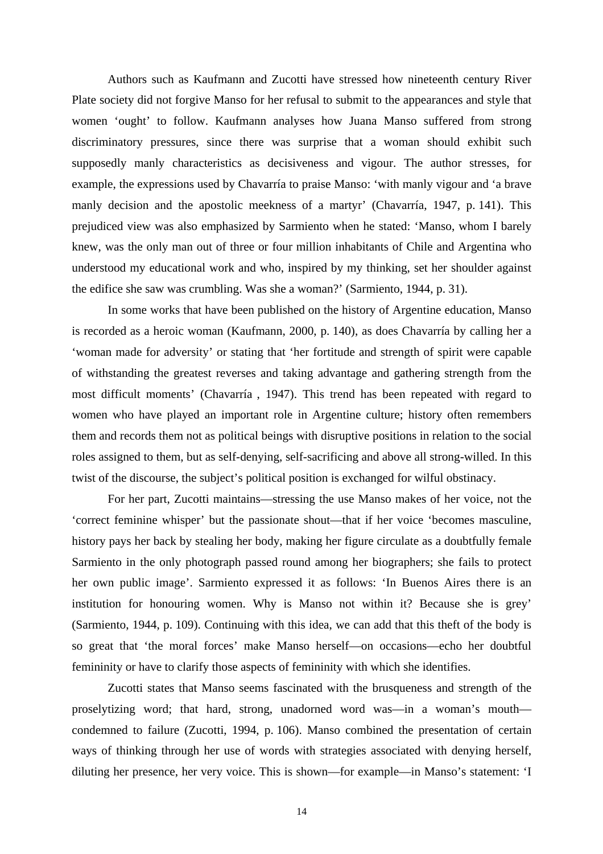Authors such as Kaufmann and Zucotti have stressed how nineteenth century River Plate society did not forgive Manso for her refusal to submit to the appearances and style that women 'ought' to follow. Kaufmann analyses how Juana Manso suffered from strong discriminatory pressures, since there was surprise that a woman should exhibit such supposedly manly characteristics as decisiveness and vigour. The author stresses, for example, the expressions used by Chavarría to praise Manso: 'with manly vigour and 'a brave manly decision and the apostolic meekness of a martyr' (Chavarría, 1947, p. 141). This prejudiced view was also emphasized by Sarmiento when he stated: 'Manso, whom I barely knew, was the only man out of three or four million inhabitants of Chile and Argentina who understood my educational work and who, inspired by my thinking, set her shoulder against the edifice she saw was crumbling. Was she a woman?' (Sarmiento, 1944, p. 31).

In some works that have been published on the history of Argentine education, Manso is recorded as a heroic woman (Kaufmann, 2000, p. 140), as does Chavarría by calling her a 'woman made for adversity' or stating that 'her fortitude and strength of spirit were capable of withstanding the greatest reverses and taking advantage and gathering strength from the most difficult moments' (Chavarría , 1947). This trend has been repeated with regard to women who have played an important role in Argentine culture; history often remembers them and records them not as political beings with disruptive positions in relation to the social roles assigned to them, but as self-denying, self-sacrificing and above all strong-willed. In this twist of the discourse, the subject's political position is exchanged for wilful obstinacy.

 For her part, Zucotti maintains—stressing the use Manso makes of her voice, not the 'correct feminine whisper' but the passionate shout—that if her voice 'becomes masculine, history pays her back by stealing her body, making her figure circulate as a doubtfully female Sarmiento in the only photograph passed round among her biographers; she fails to protect her own public image'. Sarmiento expressed it as follows: 'In Buenos Aires there is an institution for honouring women. Why is Manso not within it? Because she is grey' (Sarmiento, 1944, p. 109). Continuing with this idea, we can add that this theft of the body is so great that 'the moral forces' make Manso herself—on occasions—echo her doubtful femininity or have to clarify those aspects of femininity with which she identifies.

Zucotti states that Manso seems fascinated with the brusqueness and strength of the proselytizing word; that hard, strong, unadorned word was—in a woman's mouth condemned to failure (Zucotti, 1994, p. 106). Manso combined the presentation of certain ways of thinking through her use of words with strategies associated with denying herself, diluting her presence, her very voice. This is shown—for example—in Manso's statement: 'I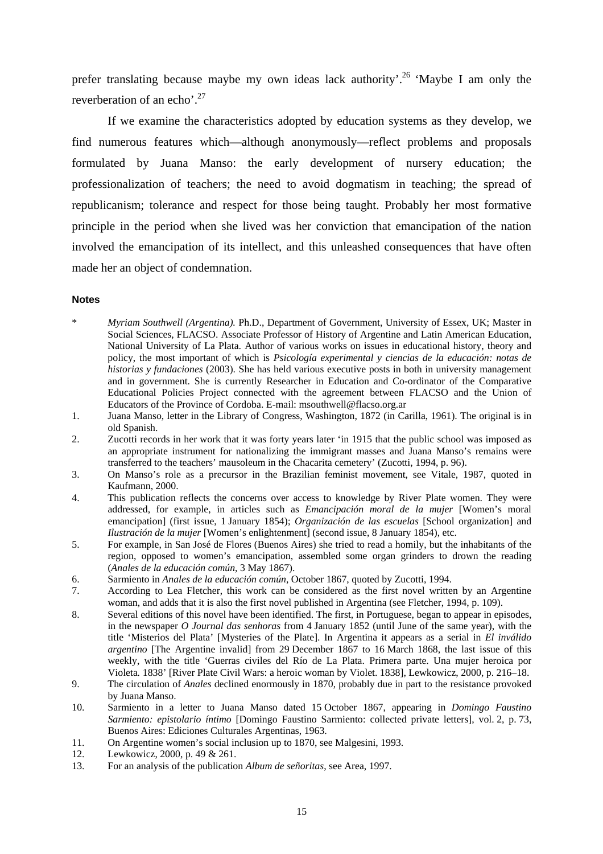prefer translating because maybe my own ideas lack authority'.<sup>26</sup> 'Maybe I am only the reverberation of an echo'.<sup>27</sup>

If we examine the characteristics adopted by education systems as they develop, we find numerous features which—although anonymously—reflect problems and proposals formulated by Juana Manso: the early development of nursery education; the professionalization of teachers; the need to avoid dogmatism in teaching; the spread of republicanism; tolerance and respect for those being taught. Probably her most formative principle in the period when she lived was her conviction that emancipation of the nation involved the emancipation of its intellect, and this unleashed consequences that have often made her an object of condemnation.

#### **Notes**

- \* *Myriam Southwell (Argentina).* Ph.D., Department of Government, University of Essex, UK; Master in Social Sciences, FLACSO. Associate Professor of History of Argentine and Latin American Education, National University of La Plata. Author of various works on issues in educational history, theory and policy, the most important of which is *Psicología experimental y ciencias de la educación: notas de historias y fundaciones* (2003). She has held various executive posts in both in university management and in government. She is currently Researcher in Education and Co-ordinator of the Comparative Educational Policies Project connected with the agreement between FLACSO and the Union of Educators of the Province of Cordoba. E-mail: msouthwell@flacso.org.ar
- 1. Juana Manso, letter in the Library of Congress, Washington, 1872 (in Carilla, 1961). The original is in old Spanish.
- 2. Zucotti records in her work that it was forty years later 'in 1915 that the public school was imposed as an appropriate instrument for nationalizing the immigrant masses and Juana Manso's remains were transferred to the teachers' mausoleum in the Chacarita cemetery' (Zucotti, 1994, p. 96).
- 3. On Manso's role as a precursor in the Brazilian feminist movement, see Vitale, 1987, quoted in Kaufmann, 2000.
- 4. This publication reflects the concerns over access to knowledge by River Plate women. They were addressed, for example, in articles such as *Emancipación moral de la mujer* [Women's moral emancipation] (first issue, 1 January 1854); *Organización de las escuelas* [School organization] and *Ilustración de la mujer* [Women's enlightenment] (second issue, 8 January 1854), etc.
- 5. For example, in San José de Flores (Buenos Aires) she tried to read a homily, but the inhabitants of the region, opposed to women's emancipation, assembled some organ grinders to drown the reading (*Anales de la educación común*, 3 May 1867).
- 6. Sarmiento in *Anales de la educación común*, October 1867, quoted by Zucotti, 1994.
- 7. According to Lea Fletcher, this work can be considered as the first novel written by an Argentine woman, and adds that it is also the first novel published in Argentina (see Fletcher, 1994, p. 109).
- 8. Several editions of this novel have been identified. The first, in Portuguese, began to appear in episodes, in the newspaper *O Journal das senhoras* from 4 January 1852 (until June of the same year), with the title 'Misterios del Plata' [Mysteries of the Plate]. In Argentina it appears as a serial in *El inválido argentino* [The Argentine invalid] from 29 December 1867 to 16 March 1868, the last issue of this weekly, with the title 'Guerras civiles del Río de La Plata. Primera parte. Una mujer heroica por Violeta*.* 1838' [River Plate Civil Wars: a heroic woman by Violet. 1838], Lewkowicz, 2000, p. 216–18.
- 9. The circulation of *Anales* declined enormously in 1870, probably due in part to the resistance provoked by Juana Manso.
- 10. Sarmiento in a letter to Juana Manso dated 15 October 1867, appearing in *Domingo Faustino Sarmiento: epistolario íntimo* [Domingo Faustino Sarmiento: collected private letters], vol. 2, p. 73, Buenos Aires: Ediciones Culturales Argentinas, 1963.
- 11. On Argentine women's social inclusion up to 1870, see Malgesini, 1993.
- 12. Lewkowicz, 2000, p. 49 & 261.
- 13. For an analysis of the publication *Album de señoritas*, see Area, 1997.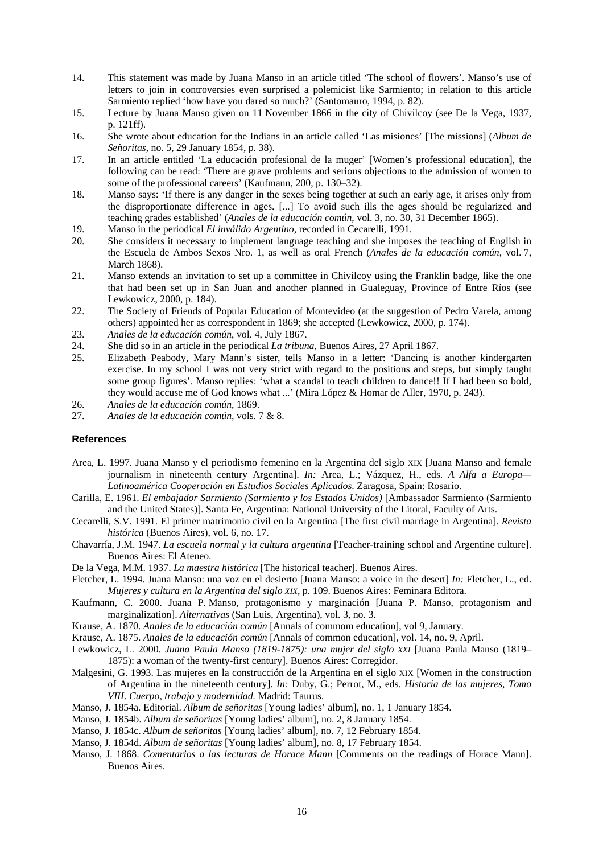- 14. This statement was made by Juana Manso in an article titled 'The school of flowers'. Manso's use of letters to join in controversies even surprised a polemicist like Sarmiento; in relation to this article Sarmiento replied 'how have you dared so much?' (Santomauro, 1994, p. 82).
- 15. Lecture by Juana Manso given on 11 November 1866 in the city of Chivilcoy (see De la Vega, 1937, p. 121ff).
- 16. She wrote about education for the Indians in an article called 'Las misiones' [The missions] (*Album de Señoritas*, no. 5, 29 January 1854, p. 38).
- 17. In an article entitled 'La educación profesional de la muger' [Women's professional education], the following can be read: 'There are grave problems and serious objections to the admission of women to some of the professional careers' (Kaufmann, 200, p. 130–32).
- 18. Manso says: 'If there is any danger in the sexes being together at such an early age, it arises only from the disproportionate difference in ages. [...] To avoid such ills the ages should be regularized and teaching grades established' (*Anales de la educación común*, vol. 3, no. 30, 31 December 1865).
- 19. Manso in the periodical *El inválido Argentino,* recorded in Cecarelli, 1991.
- 20. She considers it necessary to implement language teaching and she imposes the teaching of English in the Escuela de Ambos Sexos Nro. 1, as well as oral French (*Anales de la educación común*, vol. 7, March 1868).
- 21. Manso extends an invitation to set up a committee in Chivilcoy using the Franklin badge, like the one that had been set up in San Juan and another planned in Gualeguay, Province of Entre Ríos (see Lewkowicz, 2000, p. 184).
- 22. The Society of Friends of Popular Education of Montevideo (at the suggestion of Pedro Varela, among others) appointed her as correspondent in 1869; she accepted (Lewkowicz, 2000*,* p. 174).
- 23. *Anales de la educación común*, vol. 4, July 1867.
- 24. She did so in an article in the periodical *La tribuna*, Buenos Aires, 27 April 1867.<br>25. Elizabeth Peabody, Mary Mann's sister, tells Manso in a letter: 'Dancing is
- 25. Elizabeth Peabody, Mary Mann's sister, tells Manso in a letter: 'Dancing is another kindergarten exercise. In my school I was not very strict with regard to the positions and steps, but simply taught some group figures'. Manso replies: 'what a scandal to teach children to dance!! If I had been so bold, they would accuse me of God knows what ...' (Mira López & Homar de Aller, 1970, p. 243).
- 26. *Anales de la educación común,* 1869.
- 27. *Anales de la educación común,* vols. 7 & 8.

#### **References**

- Area, L. 1997. Juana Manso y el periodismo femenino en la Argentina del siglo XIX [Juana Manso and female journalism in nineteenth century Argentina]. *In:* Area, L.; Vázquez, H., eds. *A Alfa a Europa— Latinoamérica Cooperación en Estudios Sociales Aplicados*. Zaragosa, Spain: Rosario.
- Carilla, E. 1961. *El embajador Sarmiento (Sarmiento y los Estados Unidos)* [Ambassador Sarmiento (Sarmiento and the United States)]. Santa Fe, Argentina: National University of the Litoral, Faculty of Arts.
- Cecarelli, S.V. 1991. El primer matrimonio civil en la Argentina [The first civil marriage in Argentina]. *Revista histórica* (Buenos Aires)*,* vol. 6, no. 17.
- Chavarría, J.M. 1947. *La escuela normal y la cultura argentina* [Teacher-training school and Argentine culture]. Buenos Aires: El Ateneo.
- De la Vega, M.M. 1937. *La maestra histórica* [The historical teacher]*.* Buenos Aires.
- Fletcher, L. 1994. Juana Manso: una voz en el desierto [Juana Manso: a voice in the desert] *In:* Fletcher, L., ed. *Mujeres y cultura en la Argentina del siglo XIX,* p. 109. Buenos Aires: Feminara Editora.
- Kaufmann, C. 2000. Juana P. Manso, protagonismo y marginación [Juana P. Manso, protagonism and marginalization]. *Alternativas* (San Luis, Argentina), vol. 3, no. 3.
- Krause, A. 1870. *Anales de la educación común* [Annals of commom education], vol 9, January.
- Krause, A. 1875. *Anales de la educación común* [Annals of common education], vol. 14, no. 9, April.
- Lewkowicz, L. 2000. *Juana Paula Manso (1819-1875): una mujer del siglo XXI* [Juana Paula Manso (1819– 1875): a woman of the twenty-first century]. Buenos Aires: Corregidor.
- Malgesini, G. 1993. Las mujeres en la construcción de la Argentina en el siglo XIX [Women in the construction of Argentina in the nineteenth century]. *In:* Duby, G.; Perrot, M., eds. *Historia de las mujeres*, *Tomo VIII*. *Cuerpo, trabajo y modernidad.* Madrid: Taurus.
- Manso, J. 1854a. Editorial. *Album de señoritas* [Young ladies' album], no. 1, 1 January 1854.
- Manso, J. 1854b. *Album de señoritas* [Young ladies' album], no. 2, 8 January 1854.
- Manso, J. 1854c. *Album de señoritas* [Young ladies' album], no. 7, 12 February 1854.
- Manso, J. 1854d. *Album de señoritas* [Young ladies' album], no. 8, 17 February 1854.
- Manso, J. 1868. *Comentarios a las lecturas de Horace Mann* [Comments on the readings of Horace Mann]. Buenos Aires.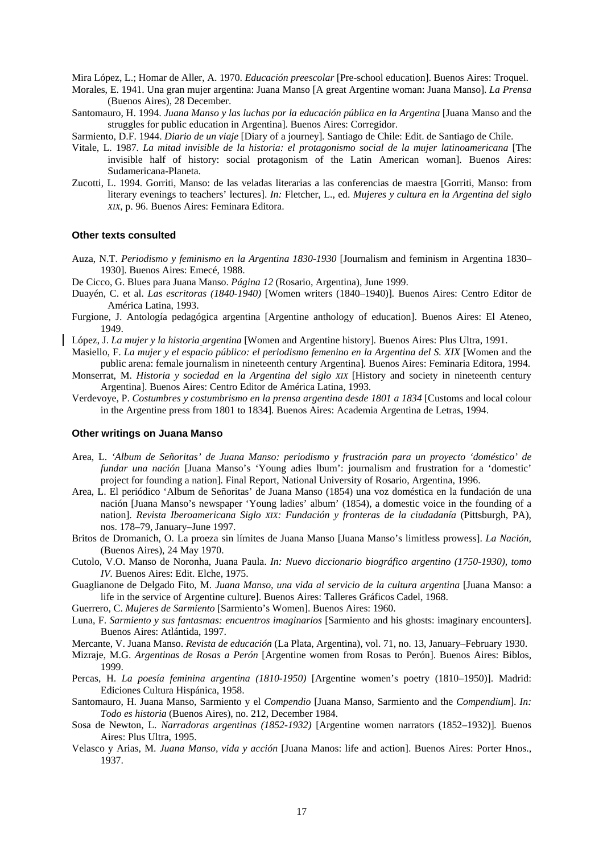Mira López, L.; Homar de Aller, A. 1970. *Educación preescolar* [Pre-school education]. Buenos Aires: Troquel.

- Morales, E. 1941. Una gran mujer argentina: Juana Manso [A great Argentine woman: Juana Manso]. *La Prensa* (Buenos Aires), 28 December.
- Santomauro, H. 1994. *Juana Manso y las luchas por la educación pública en la Argentina* [Juana Manso and the struggles for public education in Argentina]. Buenos Aires: Corregidor.
- Sarmiento, D.F. 1944. *Diario de un viaje* [Diary of a journey]*.* Santiago de Chile: Edit. de Santiago de Chile.
- Vitale, L. 1987. *La mitad invisible de la historia: el protagonismo social de la mujer latinoamericana* [The invisible half of history: social protagonism of the Latin American woman]. Buenos Aires: Sudamericana-Planeta.
- Zucotti, L. 1994. Gorriti, Manso: de las veladas literarias a las conferencias de maestra [Gorriti, Manso: from literary evenings to teachers' lectures]. *In:* Fletcher, L., ed. *Mujeres y cultura en la Argentina del siglo XIX*, p. 96. Buenos Aires: Feminara Editora.

#### **Other texts consulted**

- Auza, N.T. *Periodismo y feminismo en la Argentina 1830-1930* [Journalism and feminism in Argentina 1830– 1930]. Buenos Aires: Emecé, 1988.
- De Cicco, G. Blues para Juana Manso. *Página 12* (Rosario, Argentina), June 1999.
- Duayén, C. et al. *Las escritoras (1840-1940)* [Women writers (1840–1940)]*.* Buenos Aires: Centro Editor de América Latina, 1993.
- Furgione, J. Antología pedagógica argentina [Argentine anthology of education]. Buenos Aires: El Ateneo, 1949.
- López, J. *La mujer y la historia argentina* [Women and Argentine history]*.* Buenos Aires: Plus Ultra, 1991.
- Masiello, F. *La mujer y el espacio público: el periodismo femenino en la Argentina del S. XIX* [Women and the public arena: female journalism in nineteenth century Argentina]*.* Buenos Aires: Feminaria Editora, 1994.
- Monserrat, M. *Historia y sociedad en la Argentina del siglo XIX* [History and society in nineteenth century Argentina]. Buenos Aires: Centro Editor de América Latina, 1993.
- Verdevoye, P. *Costumbres y costumbrismo en la prensa argentina desde 1801 a 1834* [Customs and local colour in the Argentine press from 1801 to 1834]*.* Buenos Aires: Academia Argentina de Letras, 1994.

#### **Other writings on Juana Manso**

- Area, L. *'Album de Señoritas' de Juana Manso: periodismo y frustración para un proyecto 'doméstico' de fundar una nación* [Juana Manso's 'Young adies lbum': journalism and frustration for a 'domestic' project for founding a nation]. Final Report, National University of Rosario, Argentina, 1996.
- Area, L. El periódico 'Album de Señoritas' de Juana Manso (1854) una voz doméstica en la fundación de una nación [Juana Manso's newspaper 'Young ladies' album' (1854), a domestic voice in the founding of a nation]. *Revista Iberoamericana Siglo XIX: Fundación y fronteras de la ciudadanía* (Pittsburgh, PA), nos. 178–79, January–June 1997.
- Britos de Dromanich, O. La proeza sin límites de Juana Manso [Juana Manso's limitless prowess]. *La Nación,*  (Buenos Aires), 24 May 1970.
- Cutolo, V.O. Manso de Noronha, Juana Paula. *In: Nuevo diccionario biográfico argentino (1750-1930), tomo IV.* Buenos Aires: Edit. Elche, 1975.
- Guaglianone de Delgado Fito, M. Juana Manso, una vida al servicio de la cultura argentina [Juana Manso: a life in the service of Argentine culture]. Buenos Aires: Talleres Gráficos Cadel, 1968.
- Guerrero, C. *Mujeres de Sarmiento* [Sarmiento's Women]. Buenos Aires: 1960.
- Luna, F. *Sarmiento y sus fantasmas: encuentros imaginarios* [Sarmiento and his ghosts: imaginary encounters]. Buenos Aires: Atlántida, 1997.
- Mercante, V. Juana Manso. *Revista de educación* (La Plata, Argentina)*,* vol. 71, no. 13, January–February 1930.
- Mizraje, M.G. *Argentinas de Rosas a Perón* [Argentine women from Rosas to Perón]. Buenos Aires: Biblos, 1999.
- Percas, H. *La poesía feminina argentina (1810-1950)* [Argentine women's poetry (1810–1950)]. Madrid: Ediciones Cultura Hispánica, 1958.
- Santomauro, H. Juana Manso, Sarmiento y el *Compendio* [Juana Manso, Sarmiento and the *Compendium*]. *In: Todo es historia* (Buenos Aires), no. 212, December 1984.
- Sosa de Newton, L. *Narradoras argentinas (1852-1932)* [Argentine women narrators (1852–1932)]*.* Buenos Aires: Plus Ultra, 1995.
- Velasco y Arias, M. *Juana Manso, vida y acción* [Juana Manos: life and action]. Buenos Aires: Porter Hnos., 1937.